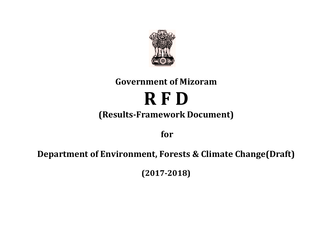

# **Government of Mizoram R F D (Results-Framework Document)**

**for** 

# **Department of Environment, Forests & Climate Change(Draft)**

**(2017-2018)**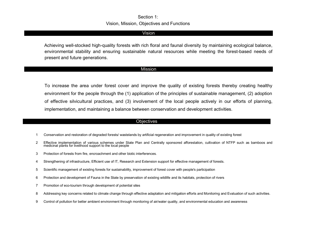#### Section 1: Vision, Mission, Objectives and Functions

#### Vision

Achieving well-stocked high-quality forests with rich floral and faunal diversity by maintaining ecological balance, environmental stability and ensuring sustainable natural resources while meeting the forest-based needs of present and future generations.

#### Mission

To increase the area under forest cover and improve the quality of existing forests thereby creating healthy environment for the people through the (1) application of the principles of sustainable management, (2) adoption of effective silvicultural practices, and (3) involvement of the local people actively in our efforts of planning, implementation, and maintaining a balance between conservation and development activities.

#### **Objectives**

- 1 Conservation and restoration of degraded forests/ wastelands by artificial regeneration and improvement in quality of existing forest
- 2 Effective implementation of various schemes under State Plan and Centrally sponsored afforestation, cultivation of NTFP such as bamboos and medicinal plants for livelihood support to the local people
- 3 Protection of forests from fire, encroachment and other biotic interferences.
- 4 Strengthening of infrastructure, Efficient use of IT, Research and Extension support for effective management of forests.
- 5 Scientific management of existing forests for sustainability, improvement of forest cover with people's participation
- 6 Protection and development of Fauna in the State by preservation of existing wildlife and its habitats, protection of rivers
- 7 Promotion of eco-tourism through development of potential sites
- 8 Addressing key concerns related to climate change through effective adaptation and mitigation efforts and Monitoring and Evaluation of such activities.
- 9 Control of pollution for better ambient environment through monitoring of air/water quality, and environmental education and awareness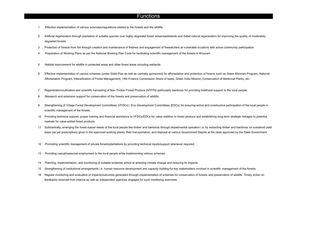#### **Functions**

- Effective implementation of various acts/rules/regulations related to the forests and the wildlife.
- Artificial regeneration through plantation of suitable species over highly degraded forest areas/wastelands and Aided natural regeneration for improving the quality of moderately degraded forests
- Protection of forests from fire through creation and maintenance of firelines and engagement of firewatchers at vulnerable locations with active community participation
- Preparation of Working Plans as per the National Working Plan Code for facilitating scientific management of the forests in Mizoram.
- Habitat improvement for wildlife in protected areas and other forest areas including wetlands.
- Effective implementation of various schemes (under State Plan as well as centrally sponsored) for afforestation and protection of forests such as Green Mizoram Program, National Afforestation Program, Intensification of Forest Management, 14th Finance Commission Share of taxes, Green India Mission, Conservation of Medicinal Plants, etc.
- Regeneration/cultivation and scientific harvesting of Non-Timber Forest Produce (NTFPs) particularly bamboos for providing livelihood support to the local people.
- Research and extension support for conservation of the forests and preservation of wildlife.
- 9 Strengthening of Village Forest Development Committees (VFDCs) / Eco-Development Committees (EDCs) for ensuring active and constructive participation of the local people in scientific management of the forests.
- Providing technical support, proper training and financial assistance to VFDCs/EDCs for value-addition to forest produce and establishing long-term strategic linkages to potential markets for value-added forest products.
- Substantially, arranging the forest-based needs of the local people like timber and bamboos through departmental operation i.e. by extracting timber and bamboos on sustained yield basis (as per prescriptions given in the approved working plans), their transportation, and disposal at various Government Depots at the rates approved by the State Government.
- Promoting scientific management of private forests/plantations by providing technical inputs/support whenever required.
- Providing casual/seasonal employment to the local people while implementing various schemes.
- Planning, implementation, and monitoring of suitable schemes aimed at arresting climate change and reducing its impacts.
- Strengthening of institutional arrangements i.e. human resource development and capacity building for key stakeholders involved in scientific management of the forests.
- 16 Regular monitoring and evaluation of impacts/outcomes generated through implementation of schemes for conservation of forests and preservation of wildlife. Timely action on feedbacks received from internal as well as independent agencies engaged for such monitoring exercises.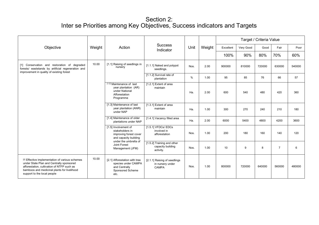|                                                                                                                                                                                                                         |        |                                                                                                                     |                                                              |      |        | Target / Criteria Value |           |        |                |        |  |  |
|-------------------------------------------------------------------------------------------------------------------------------------------------------------------------------------------------------------------------|--------|---------------------------------------------------------------------------------------------------------------------|--------------------------------------------------------------|------|--------|-------------------------|-----------|--------|----------------|--------|--|--|
| Objective                                                                                                                                                                                                               | Weight | Action                                                                                                              | <b>Success</b><br>Indicator                                  | Unit | Weight | Excellent               | Very Good | Good   | Fair           | Poor   |  |  |
|                                                                                                                                                                                                                         |        |                                                                                                                     |                                                              |      |        | 100%                    | 90%       | 80%    | 70%            | 60%    |  |  |
| [1] Conservation and restoration of degraded<br>forests/ wastelands by artificial regeneration and<br>improvement in quality of existing forest                                                                         | 10.00  | [1.1] Raising of seedlings in<br>nursery                                                                            | [1.1.1] Naked and polypot<br>seedlings.                      | Nos. | 2.00   | 900000                  | 810000    | 720000 | 630000         | 540000 |  |  |
|                                                                                                                                                                                                                         |        |                                                                                                                     | [1.1.2] Survival rate of<br>plantation                       | $\%$ | 1.00   | 95                      | 85        | 76     | 66             | 57     |  |  |
|                                                                                                                                                                                                                         |        | [1.2] Maintenance of last<br>year plantation (AR)<br>under National<br>Afforestation<br>Programme                   | [1.2.1] Extent of area<br>maintain                           | Ha.  | 2.00   | 600                     | 540       | 480    | 420            | 360    |  |  |
|                                                                                                                                                                                                                         |        | [1.3] Maintenance of last<br>year plantation (ANR)<br>under NAP                                                     | [1.3.1] Extent of area<br>maintain                           | Ha.  | 1.00   | 300                     | 270       | 240    | 210            | 180    |  |  |
|                                                                                                                                                                                                                         |        | [1.4] Maintenance of older<br>plantations under NAP                                                                 | [1.4.1] Vacancy filled area                                  | Ha.  | 2.00   | 6000                    | 5400      | 4800   | 4200           | 3600   |  |  |
|                                                                                                                                                                                                                         |        | [1.5] Involvement of<br>stakeholders in<br>improving forest cover<br>and capacity building<br>under the umbrella of | [1.5.1] VFDCs/ EDCs<br>involved in<br>afforestation          | Nos. | 1.00   | 200                     | 180       | 160    | 140            | 120    |  |  |
|                                                                                                                                                                                                                         |        | Joint Forest<br>Management (JFM)                                                                                    | [1.5.2] Training and other<br>capacity building<br>activity. | Nos. | 1.00   | 10                      | 9         | 8      | $\overline{7}$ | 6      |  |  |
| [2] Effective implementation of various schemes<br>under State Plan and Centrally sponsored<br>afforestation, cultivation of NTFP such as<br>bamboos and medicinal plants for livelihood<br>support to the local people | 10.00  | [2.1] Afforestation with tree<br>species under CAMPA<br>and Centrally<br>Sponsored Scheme<br>etc.                   | [2.1.1] Raising of seedlings<br>in nursery under<br>CAMPA    | Nos. | 1.00   | 800000                  | 720000    | 640000 | 560000         | 480000 |  |  |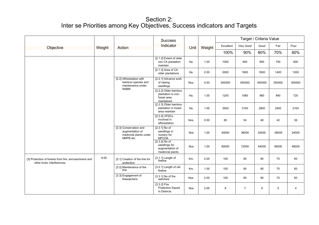|                                                                                      |        |                                                                                    | <b>Success</b>                                                          |            |        | Target / Criteria Value |                |        |        |                |
|--------------------------------------------------------------------------------------|--------|------------------------------------------------------------------------------------|-------------------------------------------------------------------------|------------|--------|-------------------------|----------------|--------|--------|----------------|
| Objective                                                                            | Weight | Action                                                                             | Indicator                                                               | Unit       | Weight | Excellent               | Very Good      | Good   | Fair   | Poor           |
|                                                                                      |        |                                                                                    |                                                                         |            |        | 100%                    | 90%            | 80%    | 70%    | 60%            |
|                                                                                      |        |                                                                                    | [2.1.2] Extent of older<br>non CA plantation<br>maintain                | Ha.        | 1.00   | 1000                    | 900            | 800    | 700    | 600            |
|                                                                                      |        |                                                                                    | [2.1.3] Area of CA<br>older plantations                                 | Ha.        | 2.00   | 2000                    | 1800           | 1600   | 1400   | 1200           |
|                                                                                      |        | [2.2] Afforestation with<br>bamboo species and<br>maintenance under<br><b>NABM</b> | [2.2.1] Advance work<br>of raising<br>seedlings                         | Nos.       | 0.50   | 500000                  | 450000         | 400000 | 350000 | 300000         |
|                                                                                      |        |                                                                                    | [2.2.2] Older bamboo<br>plantation in non-<br>forest area<br>maintained | Ha.        | 1.00   | 1200                    | 1080           | 960    | 840    | 720            |
|                                                                                      |        |                                                                                    | [2.2.3] Older bamboo<br>plantation in forest<br>area maintain           | Ha.        | 1.00   | 3500                    | 3150           | 2800   | 2450   | 2100           |
|                                                                                      |        |                                                                                    | $[2.2.4]$ VFDCs<br>involved in<br>afforestation                         | Nos.       | 0.50   | 60                      | 54             | 48     | 42     | 36             |
|                                                                                      |        | [2.3] Conservation and<br>augmentation of<br>medicinal plants under<br>NMPB etc.   | $[2.3.1]$ No of<br>seedlings in<br>nursery for<br><b>MPCDA</b>          | <b>Nos</b> | 1.00   | 40000                   | 36000          | 32000  | 28000  | 24000          |
|                                                                                      |        |                                                                                    | $[2.3.2]$ No of<br>seedlings for<br>augmentation of<br>medicinal plants | Nos        | 1.00   | 80000                   | 72000          | 64000  | 56000  | 48000          |
| [3] Protection of forests from fire, encroachment and<br>other biotic interferences. | 9.00   | [3.1] Creation of fire line for<br>protection                                      | [3.1.1] Length of<br>fireline                                           | Km.        | 2.00   | 100                     | 90             | 80     | 70     | 60             |
|                                                                                      |        | [3.2] Maintenance of fire<br>line                                                  | [3.2.1] Length of old<br>fireline                                       | Km.        | 1.00   | 100                     | 90             | 80     | 70     | 60             |
|                                                                                      |        | [3.3] Engagement of<br>firewatchers                                                | [3.3.1] No of fire<br>watchers                                          | Nos.       | 2.00   | 100                     | 90             | 80     | 70     | 60             |
|                                                                                      |        |                                                                                    | [3.3.2] Fire<br><b>Protection Squad</b><br>in Districts                 | Nos        | 2.00   | 8                       | $\overline{7}$ | 6      | 5      | $\overline{4}$ |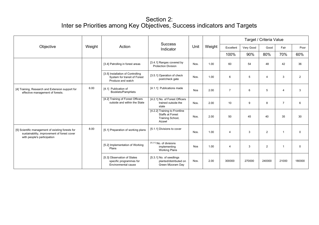|                                                                                                                                 |        |                                                                                        |                                                                                        |            |        |                |           | Target / Criteria Value |                |                |
|---------------------------------------------------------------------------------------------------------------------------------|--------|----------------------------------------------------------------------------------------|----------------------------------------------------------------------------------------|------------|--------|----------------|-----------|-------------------------|----------------|----------------|
| Objective                                                                                                                       | Weight | Action                                                                                 | <b>Success</b><br>Indicator                                                            | Unit       | Weight | Excellent      | Very Good | Good                    | Fair           | Poor           |
|                                                                                                                                 |        |                                                                                        |                                                                                        |            |        | 100%           | 90%       | 80%                     | 70%            | 60%            |
|                                                                                                                                 |        | [3.4] Patrolling in forest areas                                                       | [3.4.1] Ranges covered by<br><b>Protection Division</b>                                | Nos.       | 1.00   | 60             | 54        | 48                      | 42             | 36             |
|                                                                                                                                 |        | [3.5] Installation of Controlling<br>System for transit of Forest<br>Produce and watch | [3.5.1] Operation of check<br>post/check gate                                          | Nos.       | 1.00   | 6              | 5         | $\overline{4}$          | 3              | $\overline{2}$ |
| [4] Training, Research and Extension support for<br>effective management of forests.                                            | 6.00   | [4.1] Publication of<br>Booklets/Pamphlets                                             | [4.1.1] Publications made                                                              | <b>Nos</b> | 2.00   | $\overline{7}$ | 6         | 5                       | $\overline{4}$ | 3              |
|                                                                                                                                 |        | [4.2] Training of Forest Officers<br>outside and within the State                      | [4.2.1] No. of Forest Officers<br>trained outside the<br>state                         | Nos.       | 2.00   | 10             | 9         | 8                       | $\overline{7}$ | 6              |
|                                                                                                                                 |        |                                                                                        | [4.2.2] Training to Frontline<br><b>Staffs at Forest</b><br>Training School,<br>Aizawl | Nos.       | 2.00   | 50             | 45        | 40                      | 35             | 30             |
| [5] Scientific management of existing forests for<br>sustainability, improvement of forest cover<br>with people's participation | 8.00   | [5.1] Preparation of working plans                                                     | [5.1.1] Divisions to cover                                                             | Nos.       | 1.00   | $\overline{4}$ | 3         | $\overline{2}$          | $\mathbf{1}$   | $\mathbf 0$    |
|                                                                                                                                 |        | [5.2] Implementation of Working<br>Plans                                               | [5.2.1] No. of divisions<br>implementing<br><b>Working Plans</b>                       | <b>Nos</b> | 1.00   | $\overline{4}$ | 3         | $\overline{2}$          | $\overline{1}$ | $\mathbf 0$    |
|                                                                                                                                 |        | [5.3] Observation of States<br>specific programmes for<br>Environmental cause          | [5.3.1] No. of seedlings<br>planted/distributed on<br>Green Mizoram Day                | Nos.       | 2.00   | 300000         | 270000    | 240000                  | 21000          | 180000         |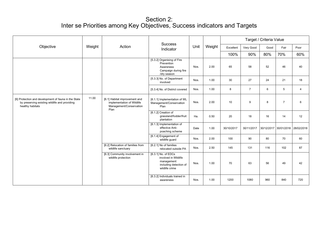|                                                                                                                           |        |                                                                                                | <b>Success</b>                                                                                        |      |        |            |                | Target / Criteria Value |                       |                |
|---------------------------------------------------------------------------------------------------------------------------|--------|------------------------------------------------------------------------------------------------|-------------------------------------------------------------------------------------------------------|------|--------|------------|----------------|-------------------------|-----------------------|----------------|
| Objective                                                                                                                 | Weight | Action                                                                                         | Indicator                                                                                             | Unit | Weight | Excellent  | Very Good      | Good                    | Fair                  | Poor           |
|                                                                                                                           |        |                                                                                                |                                                                                                       |      |        | 100%       | 90%            | 80%                     | 70%                   | 60%            |
|                                                                                                                           |        |                                                                                                | [5.3.2] Organising of Fire<br>Prevention<br>Awareness<br>Campaign during fire<br>/dry season          | Nos. | 2.00   | 65         | 58             | 52                      | 46                    | 40             |
|                                                                                                                           |        |                                                                                                | [5.3.3] No. of Department<br>involved                                                                 | Nos. | 1.00   | 30         | 27             | 24                      | 21                    | 18             |
|                                                                                                                           |        |                                                                                                | [5.3.4] No. of District covered                                                                       | Nos. | 1.00   | 8          | $\overline{7}$ | 6                       | 5                     | $\overline{4}$ |
| [6] Protection and development of fauna in the State<br>by preserving existing wildlife and providing<br>healthy habitats | 11.00  | [6.1] Habitat improvement and<br>implementation of Wildlife<br>Management/Conservation<br>Plan | [6.1.1] Implementation of WL<br>Management/Conservation<br>Plan                                       | Nos. | 2.00   | 10         | 9              | 8                       | $\overline{7}$        | 6              |
|                                                                                                                           |        |                                                                                                | [6.1.2] Creation of<br>grassland/fodder/fruit<br>plantation                                           | Ha.  | 0.50   | 20         | 18             | 16                      | 14                    | 12             |
|                                                                                                                           |        |                                                                                                | [6.1.3] Implementation of<br>effective Anti-<br>poaching scheme                                       | Date | 1.00   | 30/10/2017 | 30/11/2017     |                         | 30/12/2017 30/01/2018 | 28/02/2018     |
|                                                                                                                           |        |                                                                                                | [6.1.4] Engagement of<br>wildlife guard                                                               | Nos. | 2.00   | 100        | 90             | 80                      | 70                    | 60             |
|                                                                                                                           |        | [6.2] Relocation of families from<br>wildlife sanctuary                                        | [6.2.1] No of families<br>relocated outside PA                                                        | Nos. | 2.50   | 145        | 131            | 116                     | 102                   | 87             |
|                                                                                                                           |        | [6.3] Community involvement in<br>wildlife protection                                          | [6.3.1] No. of EDCs<br>involved in Wildlife<br>management<br>including detection of<br>wildlife crime | Nos. | 1.00   | 70         | 63             | 56                      | 49                    | 42             |
|                                                                                                                           |        |                                                                                                | [6.3.2] Individuals trained in<br>awareness                                                           | Nos. | 1.00   | 1200       | 1080           | 960                     | 840                   | 720            |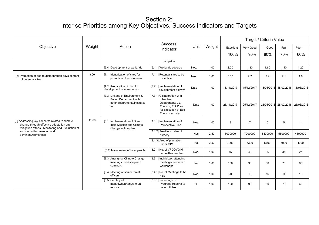|                                                                                                                                               |        |                                                                                                 | <b>Success</b>                                                                                                                  |           |        | Target / Criteria Value |                |            |                       |                |  |
|-----------------------------------------------------------------------------------------------------------------------------------------------|--------|-------------------------------------------------------------------------------------------------|---------------------------------------------------------------------------------------------------------------------------------|-----------|--------|-------------------------|----------------|------------|-----------------------|----------------|--|
| Objective                                                                                                                                     | Weight | Action                                                                                          | Indicator                                                                                                                       | Unit      | Weight | Excellent               | Very Good      | Good       | Fair                  | Poor           |  |
|                                                                                                                                               |        |                                                                                                 |                                                                                                                                 |           |        | 100%                    | 90%            | 80%        | 70%                   | 60%            |  |
|                                                                                                                                               |        |                                                                                                 | campaign                                                                                                                        |           |        |                         |                |            |                       |                |  |
|                                                                                                                                               |        | [6.4] Development of wetlands                                                                   | [6.4.1] Wetlands covered                                                                                                        | Nos.      | 1.00   | 2.00                    | 1.80           | 1.60       | 1.40                  | 1.20           |  |
| [7] Promotion of eco-tourism through development<br>of potential sites                                                                        | 3.00   | [7.1] Identification of sites for<br>promotion of eco-tourism                                   | [7.1.1] Potential sites to be<br>identified                                                                                     | Nos.      | 1.00   | 3.00                    | 2.7            | 2.4        | 2.1                   | 1.8            |  |
|                                                                                                                                               |        | [7.2] Preparation of plan for<br>development of eco-tourism                                     | [7.2.1] Implementation of<br>development activity                                                                               | Date      | 1.00   | 15/11/2017              | 15/12/2017     | 15/01/2018 | 15/02/2018            | 15/03/2018     |  |
|                                                                                                                                               |        | [7.3] Linkage of Environment &<br>Forest Department with<br>other departments/institutes<br>for | [7.3.1] Collaboration with<br>other line<br>Departments viz.<br>Tourism, R & D etc.<br>for execution of Eco<br>Tourism activity | Date      | 1.00   | 25/11/2017              | 25/12/2017     |            | 25/01/2018 25/02/2018 | 25/03/2018     |  |
| [8] Addressing key concerns related to climate<br>change through effective adaptation and<br>mitigation efforts, Monitoring and Evaluation of | 11.00  | [8.1] Implementation of Green<br>India Mission and Climate<br>Change action plan                | [8.1.1] Implementation of<br>Perspective Plan                                                                                   | Nos.      | 1.00   | 8                       | $\overline{7}$ | 6          | 5                     | $\overline{4}$ |  |
| such activities, meeting and<br>seminars/workshops                                                                                            |        |                                                                                                 | [8.1.2] Seedlings raised in<br>nursery                                                                                          | Nos       | 2.50   | 8000000                 | 7200000        | 6400000    | 5600000               | 4800000        |  |
|                                                                                                                                               |        |                                                                                                 | [8.1.3] Area of plantation<br>under GIM                                                                                         | Ha        | 2.50   | 7000                    | 6300           | 5700       | 5000                  | 4300           |  |
|                                                                                                                                               |        | [8.2] Involvement of local people                                                               | [8.2.1] No. of VFDCs/GIM<br>committee involve                                                                                   | Nos.      | 1.00   | 45                      | 40             | 36         | 31                    | 27             |  |
|                                                                                                                                               |        | [8.3] Arranging Climate Change<br>meetings, workshop and<br>seminars                            | [8.3.1] Individuals attending<br>meetings/ seminar /<br>workshops                                                               | <b>No</b> | 1.00   | 100                     | 90             | 80         | 70                    | 60             |  |
|                                                                                                                                               |        | [8.4] Meeting of senior forest<br>officers                                                      | [8.4.1] No. of Meetings to be<br>held                                                                                           | Nos.      | 1.00   | 20                      | 18             | 16         | 14                    | 12             |  |
|                                                                                                                                               |        | [8.5] Scrutiny of<br>monthly/quarterly/annual<br>reports                                        | [8.5.1] Percentage of<br>Progress Reports to<br>be scrutinized                                                                  | %         | 1.00   | 100                     | 90             | 80         | 70                    | 60             |  |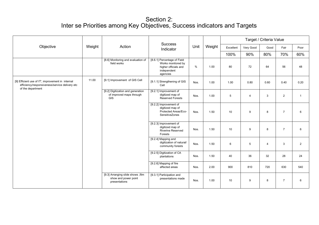|                                                                                                                          |        |                                                                             | <b>Success</b>                                                                                       |      |        |           |                | Target / Criteria Value |                |                 |
|--------------------------------------------------------------------------------------------------------------------------|--------|-----------------------------------------------------------------------------|------------------------------------------------------------------------------------------------------|------|--------|-----------|----------------|-------------------------|----------------|-----------------|
| Objective                                                                                                                | Weight | Action                                                                      | Indicator                                                                                            | Unit | Weight | Excellent | Very Good      | Good                    | Fair           | Poor            |
|                                                                                                                          |        |                                                                             |                                                                                                      |      |        | 100%      | 90%            | 80%                     | 70%            | 60%             |
|                                                                                                                          |        | [8.6] Monitoring and evaluation of<br>field works                           | [8.6.1] Percentage of Field<br>Works monitored by<br>higher officials and<br>independent<br>agencies | $\%$ | 1.00   | 80        | 72             | 64                      | 56             | 48              |
| [9] Efficient use of IT', improvement in internal<br>efficiency/responsiveness/service delivery etc<br>of the department | 11.00  | [9.1] Improvement of GIS Cell                                               | [9.1.1] Strengthening of GIS<br>Cell                                                                 | Nos. | 1.00   | 1.00      | 0.80           | 0.60                    | 0.40           | 0.20            |
|                                                                                                                          |        | [9.2] Digitization and generation<br>of improved maps through<br>GIS        | [9.2.1] Improvement of<br>digitized map of<br><b>Reserved Forests</b>                                | Nos. | 1.00   | 5         | $\overline{4}$ | 3                       | $\overline{2}$ | $\overline{1}$  |
|                                                                                                                          |        |                                                                             | [9.2.2] Improvement of<br>digitized map of<br>Protected Areas/Eco-<br>SensitiveZones                 | Nos. | 1.50   | 10        | 9              | 8                       | $\overline{7}$ | 6               |
|                                                                                                                          |        |                                                                             | [9.2.3] Improvement of<br>digitized map of<br>Riverine Reserved<br>Forests                           | Nos. | 1.50   | 10        | 9              | 8                       | $\overline{7}$ | 6               |
|                                                                                                                          |        |                                                                             | [9.2.4] Mapping and<br>digitization of natural/<br>community forests                                 | Nos. | 1.50   | 6         | 5              | 4                       | 3              | $\overline{2}$  |
|                                                                                                                          |        |                                                                             | [9.2.5] Digitization of CA<br>plantations                                                            | Nos. | 1.50   | 40        | 36             | 32                      | 28             | 24              |
|                                                                                                                          |        |                                                                             | [9.2.6] Mapping of fire<br>affected areas                                                            | Nos. | 2.00   | 900       | 810            | 720                     | 630            | 540             |
|                                                                                                                          |        | [9.3] Arranging slide shows , film<br>show and power point<br>presentations | [9.3.1] Participation and<br>presentations made                                                      | Nos. | 1.00   | 10        | 9              | 8                       | $\overline{7}$ | $6\phantom{.}6$ |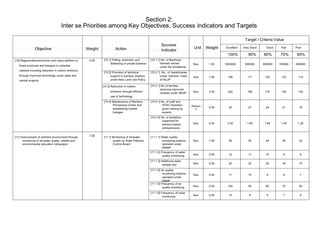|                                                                                                                                                                                                                      |        |                                                                                                                                                                           |                                                                                  |             |        | Target / Criteria Value |           |                 |                |                |  |  |
|----------------------------------------------------------------------------------------------------------------------------------------------------------------------------------------------------------------------|--------|---------------------------------------------------------------------------------------------------------------------------------------------------------------------------|----------------------------------------------------------------------------------|-------------|--------|-------------------------|-----------|-----------------|----------------|----------------|--|--|
| Objective                                                                                                                                                                                                            | Weight | Action                                                                                                                                                                    | <b>Success</b><br>Indicator                                                      | Unit        | Weight | Excellent               | Very Good | Good            | Fair           | Poor           |  |  |
|                                                                                                                                                                                                                      |        |                                                                                                                                                                           |                                                                                  |             |        | 100%                    | 90%       | 80%             | 70%            | 60%            |  |  |
| [10] Regeneration/extraction and value-addition to<br>forest produces and linkages to potential<br>markets including reduction in carbon emission<br>through improved technology under state and<br>central projects | 5.00   | [10.1] Felling, extraction and<br>Marketing of private bamboo                                                                                                             | [10.1.1] No. of Bamboos<br>harvest/ extract<br>under the Guidelines              | Nos.        | 1.00   | 1000000                 | 900000    | 800000          | 700000         | 600000         |  |  |
|                                                                                                                                                                                                                      |        | [10.2] Provision of technical<br>support to bamboo planters<br>under New Land Use Policy                                                                                  | [10.2.1] No. of beneficiaries<br>under bamboo trade<br>of NLUP                   | <b>Nos</b>  | 1.00   | 190                     | 171       | 152             | 133            | 114            |  |  |
|                                                                                                                                                                                                                      |        | [10.3] Reduction in carbon<br>emission through efficient<br>use of technology<br>[10.4] Maintenance of Bamboo<br>Processing Centre and<br>establishing market<br>linkages | [10.3.1] No of families<br>receiving improved<br>chulhas under NEDP              | Nos.        | 2.00   | 220                     | 198       | 176             | 154            | 132            |  |  |
|                                                                                                                                                                                                                      |        |                                                                                                                                                                           | [10.4.1] No. of staff and<br><b>VFDC</b> members<br>given training by<br>experts | Person<br>s | 0.50   | 30                      | 27        | 24              | 21             | 18             |  |  |
|                                                                                                                                                                                                                      |        |                                                                                                                                                                           | [10.4.2] No. of exhibition<br>organized for<br>bamboo based<br>entrepreneurs     | Nos.        | 0.50   | 2.00                    | 1.80      | 1.60            | 1.40           | 1.20           |  |  |
| [11] Improvement of ambient environment through<br>monitoring of air/water quality, wildlife and<br>environmental education campaigns                                                                                | 7.00   | [11.1] Monitoring of air/water<br>quality by State Pollution<br>Control Board                                                                                             | [11.1.1] Water quality<br>monitoring stations<br>operated under<br><b>NWMP</b>   | Nos.        | 1.00   | 56                      | 50        | 44              | 38             | 32             |  |  |
|                                                                                                                                                                                                                      |        |                                                                                                                                                                           | [11.1.2] Frequency of water<br>quality monitoring                                | Nos.        | 0.50   | 12                      | 11        | 10 <sup>1</sup> | 9              | 8              |  |  |
|                                                                                                                                                                                                                      |        |                                                                                                                                                                           | [11.1.3] Additional water<br>sample test                                         | Nos.        | 0.50   | 25                      | 22        | 20              | 18             | 15             |  |  |
|                                                                                                                                                                                                                      |        |                                                                                                                                                                           | [11.1.4] Air quality<br>monitoring stations<br>operated under<br><b>NAMP</b>     | Nos.        | 0.50   | 11                      | 10        | 9               | 8              | $\overline{7}$ |  |  |
|                                                                                                                                                                                                                      |        |                                                                                                                                                                           | [11.1.5] Frequency of air<br>quality monitoring                                  | Nos.        | 0.50   | 104                     | 90        | 80              | 70             | 60             |  |  |
|                                                                                                                                                                                                                      |        |                                                                                                                                                                           | [11.1.6] Frequency of noise<br>monitoring                                        | Nos.        | 0.50   | 10                      | 9         | 8               | $\overline{7}$ | 6              |  |  |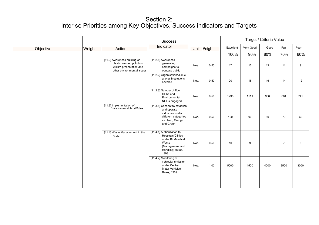|           |        |                                                                                                                       | <b>Success</b>                                                                                                              |      |        | Target / Criteria Value |           |      |                |      |  |  |
|-----------|--------|-----------------------------------------------------------------------------------------------------------------------|-----------------------------------------------------------------------------------------------------------------------------|------|--------|-------------------------|-----------|------|----------------|------|--|--|
| Objective | Weight | Action                                                                                                                | Indicator                                                                                                                   | Unit | Veight | Excellent               | Very Good | Good | Fair           | Poor |  |  |
|           |        |                                                                                                                       |                                                                                                                             |      |        | 100%                    | 90%       | 80%  | 70%            | 60%  |  |  |
|           |        | [11.2] Awareness building on<br>plastic wastes, pollution,<br>wildlife preservation and<br>other environmental issues | $[11.2.1]$ Awareness<br>generating<br>campaigns to<br>educate public                                                        | Nos. | 0.50   | 17                      | 15        | 13   | 11             | 9    |  |  |
|           |        |                                                                                                                       | [11.2.2] Organisations/Educ<br>ational Institutions<br>covered                                                              | Nos. | 0.50   | 20                      | 18        | 16   | 14             | 12   |  |  |
|           |        |                                                                                                                       | [11.2.3] Number of Eco<br>Clubs and<br>Environmental<br>NGOs engaged                                                        | Nos. | 0.50   | 1235                    | 1111      | 988  | 864            | 741  |  |  |
|           |        | [11.3] Implementation of<br><b>Environmental Acts/Rules</b>                                                           | [11.3.1] Consent to establish<br>and operate<br>industries under<br>different categories<br>viz. Red, Orange<br>and Green   | Nos. | 0.50   | 100                     | 90        | 80   | 70             | 60   |  |  |
|           |        | [11.4] Waste Management in the<br>State                                                                               | [11.4.1] Authorization to<br>Hospitals/Clinics<br>under Bio-Medical<br>Waste<br>(Management and<br>Handling) Rules,<br>1998 | Nos. | 0.50   | 10                      | 9         | 8    | $\overline{7}$ | 6    |  |  |
|           |        |                                                                                                                       | [11.4.2] Monitoring of<br>vehicular emission<br>under Central<br><b>Motor Vehicles</b><br><b>Rules, 1989</b>                | Nos. | 1.00   | 5000                    | 4500      | 4000 | 3500           | 3000 |  |  |
|           |        |                                                                                                                       |                                                                                                                             |      |        |                         |           |      |                |      |  |  |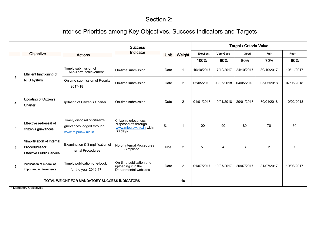## Section 2:

## Inter se Priorities among Key Objectives, Success indicators and Targets

|                         |                                                                                 |                                                                                 | <b>Success</b>                                                                       |             |                |                  |                       | <b>Target / Criteria Value</b> |                |            |
|-------------------------|---------------------------------------------------------------------------------|---------------------------------------------------------------------------------|--------------------------------------------------------------------------------------|-------------|----------------|------------------|-----------------------|--------------------------------|----------------|------------|
|                         | Objective                                                                       | <b>Actions</b>                                                                  | Indicator                                                                            | <b>Unit</b> | Weight         | <b>Excellent</b> | Very Good             | Good                           | Fair           | Poor       |
|                         |                                                                                 |                                                                                 |                                                                                      |             |                | 100%             | 90%                   | 80%                            | 70%            | 60%        |
|                         | <b>Efficient functioning of</b>                                                 | Timely submission of<br>Mid-Term achievement                                    | On-time submission                                                                   | Date        | -1             | 10/10/2017       | 17/10/2017            | 24/10/2017                     | 30/10/2017     | 10/11/2017 |
|                         | <b>RFD</b> system                                                               | On time submission of Results<br>2017-18                                        | On-time submission                                                                   | Date        | $\overline{2}$ | 02/05/2018       | 03/05/2018            | 04/05/2018                     | 05/05/2018     | 07/05/2018 |
| $\mathbf{2}$            | <b>Updating of Citizen's</b><br>Charter                                         | Updating of Citizen's Charter                                                   | On-time submission                                                                   | Date        | 2              | 01/01/2018       | 10/01/2018            | 20/01/2018                     | 30/01/2018     | 10/02/2018 |
| 3                       | Effective redressal of<br>citizen's grievances                                  | Timely disposal of citizen's<br>grievances lodged through<br>www.mipuiaw.nic.in | Citizen's grievances<br>disposed off through<br>www.mipuiaw.nic.in within<br>30 days | %           | $\overline{1}$ | 100              | 90                    | 80                             | 70             | 60         |
| $\overline{\mathbf{4}}$ | Simplification of Internal<br>Procedures for<br><b>Effective Public Service</b> | Examination & Simplification of<br><b>Internal Procedures</b>                   | No of Internal Procedures<br>Simplified                                              | <b>Nos</b>  | $\overline{2}$ | 5                | $\boldsymbol{\Delta}$ | 3                              | $\overline{2}$ | -1         |
| 5                       | Publication of e-book of<br>important achievements                              | Timely publication of e-book<br>for the year 2016-17                            | On-time publication and<br>uploading it in the<br>Departmental websites              | Date        | $\overline{2}$ | 01/07/2017       | 10/07/2017            | 20/07/2017                     | 31/07/2017     | 10/08/2017 |
|                         |                                                                                 | TOTAL WEIGHT FOR MANDATORY SUCCESS INDICATORS                                   |                                                                                      | 10          |                |                  |                       |                                |                |            |

Mandatory Objective(s)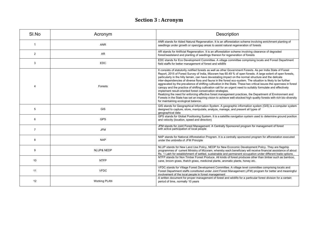## **Section 3 : Acronym**

| SI.No          | Acronym               | Description                                                                                                                                                                                                                                                                                                                                                                                                                                                                                                                                                                                                                                                                                                                                                                                                                                                                                                                                                                                                                                 |
|----------------|-----------------------|---------------------------------------------------------------------------------------------------------------------------------------------------------------------------------------------------------------------------------------------------------------------------------------------------------------------------------------------------------------------------------------------------------------------------------------------------------------------------------------------------------------------------------------------------------------------------------------------------------------------------------------------------------------------------------------------------------------------------------------------------------------------------------------------------------------------------------------------------------------------------------------------------------------------------------------------------------------------------------------------------------------------------------------------|
| 1              | <b>ANR</b>            | ANR stands for Aided Natural Regeneration. It is an afforestation scheme involving enrichment planting of<br>seedlings under growth or open/gap areas to assist natural regeneration of forests                                                                                                                                                                                                                                                                                                                                                                                                                                                                                                                                                                                                                                                                                                                                                                                                                                             |
| 2              | <b>AR</b>             | AR stands for Artificial Regeneration. It is an afforestation scheme involving clearance of degraded<br>forest/wasteland and planting of seedlings thereon for regeneration of forests                                                                                                                                                                                                                                                                                                                                                                                                                                                                                                                                                                                                                                                                                                                                                                                                                                                      |
| 3              | <b>EDC</b>            | EDC stands for Eco Development Committee. A village committee comprising locals and Forest Department<br>field staffs for better management of forest and wildlife                                                                                                                                                                                                                                                                                                                                                                                                                                                                                                                                                                                                                                                                                                                                                                                                                                                                          |
| 4              | Forests               | It consists of statutorily notified forests as well as other Government Forests. As per India State of Forest<br>Report, 2015 of Forest Survey of India, Mizoram has 60.49 % of open forests. A large extent of open forests,<br>particularly in the hilly terrain, can have devastating impact on the normal structure and the delicate<br>inter-dependencies of diverse flora and fauna in the forest eco-system. The situation is likely to be further<br>aggravated by the prevalence of shifting cultivation in the State. These two critical issues the openness in forest<br>canopy and the practice of shifting cultivation call for an urgent need to suitably formulate and effectively<br>implement result-oriented forest conservation strategies.<br>Realizing the need for enforcing effective forest management practices, the Department of Environment and<br>Forests in the State has set an inspiring vision to achieve well-stocked high quality forests with rich bio-diversity<br>for maintaining ecological balance. |
| 5              | GIS                   | GIS stands for Geographical Information System. A geographic information system (GIS) is a computer system<br>designed to capture, store, manipulate, analyze, manage, and present all types of<br>geographical data                                                                                                                                                                                                                                                                                                                                                                                                                                                                                                                                                                                                                                                                                                                                                                                                                        |
| 6              | <b>GPS</b>            | GPS stands for Global Positioning System. It is a satellite navigation system used to determine ground position<br>and velocity (location, speed and direction)                                                                                                                                                                                                                                                                                                                                                                                                                                                                                                                                                                                                                                                                                                                                                                                                                                                                             |
| $\overline{7}$ | <b>JFM</b>            | JFM stands for Joint Forest Management. A Centrally Sponsored program for management of forest<br>with active participation of local people                                                                                                                                                                                                                                                                                                                                                                                                                                                                                                                                                                                                                                                                                                                                                                                                                                                                                                 |
| 8              | <b>NAP</b>            | NAP stands for National Afforestation Program. It is a centrally sponsored program for afforestation executed<br>under the umbrella of JFM Principle                                                                                                                                                                                                                                                                                                                                                                                                                                                                                                                                                                                                                                                                                                                                                                                                                                                                                        |
| 9              | <b>NLUP&amp; NEDP</b> | NLUP stands for New Land Use Policy, NEDP for New Economic Development Policy. They are flagship<br>programmes of current Ministry of Mizoram, whereby each beneficiary will receive financial assistance of about<br>Rs. 1 Lakh for establishment of settled, sustainable and permanent occupation under different trade options.                                                                                                                                                                                                                                                                                                                                                                                                                                                                                                                                                                                                                                                                                                          |
| 10             | <b>NTFP</b>           | NTFP stands for Non Timber Forest Produce. All kinds of forest produces other than timber such as bamboo,<br>cane, broom grass, thatch grass, medicinal plants, aromatic plants, honey etc.                                                                                                                                                                                                                                                                                                                                                                                                                                                                                                                                                                                                                                                                                                                                                                                                                                                 |
| 11             | <b>VFDC</b>           | VFDC stands for Village Forest Development Committee. A village level committee comprising locals and<br>Forest Department staffs constituted under Joint Forest Management (JFM) program for better and meaningful<br>involvement of the local people in forest management                                                                                                                                                                                                                                                                                                                                                                                                                                                                                                                                                                                                                                                                                                                                                                 |
| 12             | <b>Working PLAN</b>   | A written document for proper management of forest and wildlife for a particular forest division for a certain<br>period of time, normally 10 years                                                                                                                                                                                                                                                                                                                                                                                                                                                                                                                                                                                                                                                                                                                                                                                                                                                                                         |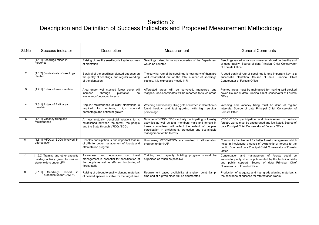| SI.No | Success indicator                                                                                   | Description                                                                                                                                                   | Measurement                                                                                                                                                                                                                                                      | <b>General Comments</b>                                                                                                                                                                                      |
|-------|-----------------------------------------------------------------------------------------------------|---------------------------------------------------------------------------------------------------------------------------------------------------------------|------------------------------------------------------------------------------------------------------------------------------------------------------------------------------------------------------------------------------------------------------------------|--------------------------------------------------------------------------------------------------------------------------------------------------------------------------------------------------------------|
|       | [1.1.1] Seedlings raised in<br>nurseries                                                            | Raising of healthy seedlings is key to success<br>of plantation                                                                                               | Seedlings raised in various nurseries of the Department<br>would be counted                                                                                                                                                                                      | Seedlings raised in various nurseries should be healthy and<br>of good quality. Source of data Principal Chief Conservator<br>of Forests Office                                                              |
|       | [1.1.2] Survival rate of seedlings<br>planted                                                       | Survival of the seedlings planted depends on<br>the quality of seedlings, and regular weeding<br>of the plantation                                            | The survival rate of the seedlings is how many of them are<br>well established out of the total number of seedlings<br>planted. It is expressed mostly in %                                                                                                      | A good survival rate of seedlings is one important key to a<br>successful plantation. Source of data Principal Chief<br>Conservator of Forests Office                                                        |
| 3     | [1.2.1] Extent of area maintain                                                                     | Area under well stocked forest cover will<br>through<br>increase<br>plantation<br>on<br>wastelands/degraded forests                                           | Afforested areas will be surveyed, measured and<br>mapped. Geo-coordinates will be recorded for such areas                                                                                                                                                       | Planted areas must be maintained for making well-stocked<br>cover. Source of data Principal Chief Conservator of Forests<br>Office                                                                           |
|       | [1.3.1] Extent of ANR area<br>maintain                                                              | Regular maintenance of older plantations is<br>required for achieving high survival<br>percentage and optimum growth                                          | Weeding and vacancy filling gets confirmed if plantation is<br>found healthy and fast growing with high survival<br>percentage                                                                                                                                   | Weeding and vacancy filling must be done at regular<br>intervals. Source of data Principal Chief Conservator of<br>Forests Office                                                                            |
| 5     | [1.4.1] Vacancy filling and<br>maintenance                                                          | A new mutually beneficial relationship is<br>established between the forest, the people<br>and the State through VFDCs/EDCs                                   | Number of VFDCs/EDCs actively participating in forestry<br>activities as well as total members male and female in<br>these committees will reflect the extent of peoples<br>participation in enrichment, protection and sustainable<br>management of the forests | VFDCs/EDCs participation and involvement in various<br>forestry works must be encouraged and facilitated. Source of<br>data Principal Chief Conservator of Forests Office                                    |
| 6     | [1.5.1] VFDCs/ EDCs involved in<br>afforestation                                                    | Peoples participation is one important feature<br>of JFM for better management of forests and<br>afforestation program                                        | How many VFDCs/EDCs are involved in afforestation<br>program under NAP                                                                                                                                                                                           | Community involvement for better forest management which<br>helps in inculcating a sense of ownership of forests to the<br>public. Source of data Principal Chief Conservator of Forests<br>Office           |
|       | [1.5.2] Training and other capacity<br>building activity given to various<br>stakeholders under JFM | Awareness<br>education on<br>forest<br>and<br>management is essential for sensitization of<br>the people as well as efficient functioning of<br>forest staffs | Training and capacity building program should be<br>organized as much as possible                                                                                                                                                                                | Conservation and management of forests could be<br>satisfactory only when supplemented by the technical skills<br>and public support. Source of data Principal Chief<br><b>Conservator of Forests Office</b> |
| 8     | [2.1.1]<br>Seedlings<br>raised<br>in<br>nurseries under CAMPA                                       | Raising of adequate quality planting materials<br>of desired species suitable for the target area                                                             | Requirement based availability at a given point &<br>time and at a given place will be enumerated                                                                                                                                                                | Production of adequate and high grade planting materials is<br>the backbone of success for afforestation works                                                                                               |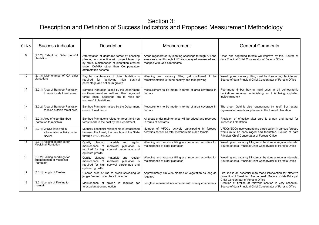| SI.No | Success indicator                                                        | Description                                                                                                                                                                                                 | Measurement                                                                                                                                    | <b>General Comments</b>                                                                                                                                                   |
|-------|--------------------------------------------------------------------------|-------------------------------------------------------------------------------------------------------------------------------------------------------------------------------------------------------------|------------------------------------------------------------------------------------------------------------------------------------------------|---------------------------------------------------------------------------------------------------------------------------------------------------------------------------|
| 9     | [2.1.2] Extent of Older non-CA<br>plantation                             | Afforestation of degraded forest by seedling<br>planting in connection with project taken up<br>by state. Maintenance of plantation created<br>under CAMPA other than Compensatory<br>afforestation scheme. | Areas regenerated by planting seedlings through AR and<br>areas enriched through ANR are surveyed, measured and<br>mapped with Geo-coordinates | Open and degraded forests will improve by this. Source of<br>data Principal Chief Conservator of Forests Office                                                           |
| 10    | [2.1.3] Maintenance of CA older<br>plantations                           | Regular maintenance of older plantation is<br>required for achieving high survival<br>percentage and optimum growth                                                                                         | Weeding and vacancy filling get confirmed if the<br>forest/plantation is found healthy and fast growing                                        | Weeding and vacancy filling must be done at regular interval.<br>Source of data Principal Chief Conservator of Forests Office                                             |
| 11    | [2.2.1] Area of Bamboo Plantation<br>to raise inside forest area         | Bamboo Plantation raised by the Department<br>on Government as well as other degraded<br>forest lands. Seedlings are to raise for<br>successful plantations.                                                | Measurement to be made in terms of area coverage in<br>hectare                                                                                 | Poor-mans timber having multi uses in all demographic<br>habitations requires replenishing as it is being exploited<br>indiscriminately                                   |
| 12    | [2.2.2] Area of Bamboo Plantation<br>to raise outside forest area        | Bamboo Plantation raised by the Department<br>on non forest lands                                                                                                                                           | Measurement to be made in terms of area coverage in<br>hectare                                                                                 | The green Gold is also regenerating by itself. But natural<br>regeneration needs supplement in the form of plantation                                                     |
| 13    | [2.2.3] Area of older Bamboo<br>Plantation to maintain                   | Bamboo Plantations raised on forest and non<br>forest lands in the past by the Department                                                                                                                   | All areas under maintenance will be added and recorded<br>in terms of hectares                                                                 | Provision of effective after care is a part and parcel for<br>successful plantation                                                                                       |
| 14    | [2.2.4] VFDCs involved in<br>afforestation activity under<br><b>NABM</b> | Mutually beneficial relationship is established<br>between the forest, the people and the State<br>through VFDCs/EDCs                                                                                       | Number of VFDCs actively participating in forestry<br>activities as well as total members male and female                                      | VFDCs/EDCs involvement and participation in various forestry<br>works must be encouraged and facilitated. Source of data<br>Principal Chief Conservator of Forests Office |
| 15    | [2.3.1] Raising seedlings for<br>Medicinal Plantation                    | Quality planting materials and regular<br>maintenance of medicinal plantation is<br>required for high survival percentage and<br>optimum growth                                                             | Weeding and vacancy filling are important activities for<br>maintenance of older plantation                                                    | Weeding and vacancy filling must be done at regular intervals.<br>Source of data Principal Chief Conservator of Forests Office                                            |
| 16    | [2.3.2] Raising seedlings for<br>augmentation of Medicinal<br>Plantation | materials and regular<br>Quality planting<br>medicinal plantation is<br>maintenance of<br>required for high survival percentage and<br>optimum growth                                                       | Weeding and vacancy filling are important activities for<br>maintenance of older plantation                                                    | Weeding and vacancy filling must be done at regular intervals.<br>Source of data Principal Chief Conservator of Forests Office                                            |
| 17    | [3.1.1] Length of Fireline                                               | Cleared area or line to break spreading of<br>jungle fire from one place to another                                                                                                                         | Approximately 4m wide cleared of vegetation as long as<br>required                                                                             | Fire line is an essential man made intervention for effective<br>protection of forest from fire outbreak. Source of data Principal<br>Chief Conservator of Forests Office |
| 18    | [3.2.1] Length of Fireline to<br>maintain                                | Maintenance of fireline is required for<br>forest/plantation protection                                                                                                                                     | Length is measured in kilometers with survey equipments                                                                                        | Creation of fireline at relevant location is very essential.<br>Source of data Principal Chief Conservator of Forests Office                                              |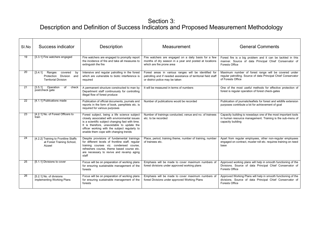| SI.No  | Success indicator                                                                               | Description                                                                                                                                                                                                                                                                              | Measurement                                                                                                                                                | <b>General Comments</b>                                                                                                                            |
|--------|-------------------------------------------------------------------------------------------------|------------------------------------------------------------------------------------------------------------------------------------------------------------------------------------------------------------------------------------------------------------------------------------------|------------------------------------------------------------------------------------------------------------------------------------------------------------|----------------------------------------------------------------------------------------------------------------------------------------------------|
| 19     | [3.3.1] Fire watchers engaged                                                                   | Fire watchers are engaged to promptly report<br>the incidence of fire and take all measures to<br>extinguish the fire                                                                                                                                                                    | Fire watchers are engaged on a daily basis for a few<br>months of dry season in a year and posted at locations<br>which are fire prone area                | Forest fire is a big problem and it can be tackled in this<br>manner. Source of data Principal Chief Conservator of<br>Forests Office              |
| $20\,$ | Ranges<br>[3.4.1]<br>covered<br>by<br>Protection Division<br>and<br><b>Territorial Division</b> | Intensive and regular patrolling in the forest<br>which are vulnerable to biotic interference is<br>required                                                                                                                                                                             | Forest areas in various ranges will be identified for<br>patrolling and if needed assistance of territorial field staff<br>or district police may be taken | Maximum number of forest range will be covered under<br>regular patrolling. Source of data Principal Chief Conservator<br>of Forests Office        |
| 21     | Operation<br>[3.5.1]<br>check<br>of<br>post/check gate                                          | A permanent structure constructed to man by<br>Department staff continuously for controlling<br>illegal flow of forest produce                                                                                                                                                           | It will be measured in terms of numbers                                                                                                                    | One of the most useful methods for effective protection of<br>forest is regular operation of forest check-gates                                    |
| 22     | [4.1.1] Publications made                                                                       | Publication of official documents, journals and<br>reports in the form of book, pamphlets etc. is<br>required for various purposes                                                                                                                                                       | Number of publications would be recorded                                                                                                                   | Publication of journals/leaflets for forest and wildlife extension<br>purposes contribute a lot for achievement of goal                            |
| 23     | [4.2.1] No. of Forest Officers to<br>train                                                      | Forest subject, being a life science subject<br>closely associated with environmental issues<br>is a scientific subject changing fast with time.<br>It is therefore, unavoidable to update the<br>officer working with the subject regularly to<br>enable them cope with changing trends | Number of trainings conducted, venue and no. of trainees<br>etc. to be recorded                                                                            | Capacity building is nowadays one of the most important tools<br>in human resource management. Training is the sub-menu of<br>capacity building    |
| 24     | [4.2.2] Training to Frontline Staffs<br>at Forest Training School,<br>Aizawl                    | Despite provisions of fundamental trainings<br>for different levels of frontline staff, regular<br>training courses viz. condensed course,<br>refreshers course, theme based course etc.<br>are necessary to revive and revamp aging<br>staff                                            | Place, period, training theme, number of training, number<br>of trainees etc.                                                                              | Apart from regular employees, other non-regular employees<br>engaged on contract, muster roll etc. requires training on need<br>base               |
| 25     | [5.1.1] Divisions to cover                                                                      | Focus will be on preparation of working plans<br>for ensuring sustainable management of the<br>forests                                                                                                                                                                                   | Emphasis will be made to cover maximum numbers of<br>forest divisions under approved working plans                                                         | Approved working plans will help in smooth functioning of the<br>Divisions. Source of data Principal Chief Conservator of<br><b>Forests Office</b> |
| 26     | [5.2.1] No. of divisions<br>implementing Working Plans                                          | Focus will be on preparation of working plans<br>for ensuring sustainable management of the<br>forests                                                                                                                                                                                   | Emphasis will be made to cover maximum numbers of<br>forest Divisions under approved Working Plans                                                         | Approved Working Plans will help in smooth functioning of the<br>divisions. Source of data Principal Chief Conservator of<br><b>Forests Office</b> |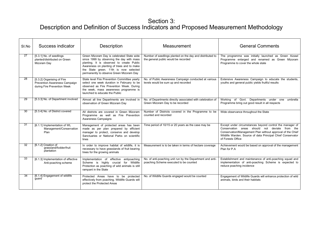| SI.No | Success indicator                                                                          | Description                                                                                                                                                                                                                                                             | Measurement                                                                                         | <b>General Comments</b>                                                                                                                                                                                                                                      |
|-------|--------------------------------------------------------------------------------------------|-------------------------------------------------------------------------------------------------------------------------------------------------------------------------------------------------------------------------------------------------------------------------|-----------------------------------------------------------------------------------------------------|--------------------------------------------------------------------------------------------------------------------------------------------------------------------------------------------------------------------------------------------------------------|
| 27    | [5.3.1] No. of seedlings<br>planted/distributed on Green<br>Mizoram Day                    | Green Mizoram Day is celebrated State wide<br>since 1999 by observing the day with mass<br>planting. It is observed to create Public<br>Awareness on planting of trees and to make<br>the State green. 11th is now selected<br>permanently to observe Green Mizoram Day | Number of seedlings planted on the day and distributed to<br>the general public would be recorded   | The programme was initially launched as Green Aizawl<br>Programme enlarged and renamed as Green Mizoram<br>Programme to cover the whole state                                                                                                                |
| 28    | [5.3.2] Organising of Fire<br>Prevention Awareness Campaign<br>during Fire Prevention Week | State level Fire Prevention Committee yearly<br>select one week duration in February to be<br>observed as Fire Prevention Week. During<br>the week, mass awareness programme is<br>launched to educate the Public                                                       | No. of Public Awareness Campaign conducted at various<br>levels would be sum up and recorded        | Extensive Awareness Campaign to educate the students,<br>youths and general public yields fruitful results                                                                                                                                                   |
| 29    | [5.3.3] No. of Department involved                                                         | Almost all line Departments are involved in<br>observation of Green Mizoram Day                                                                                                                                                                                         | No. of Departments directly associated with celebration of<br>Green Mizoram Day to be recorded      | Working of Govt. Departments under one umbrella<br>Programme bring out good result in all respects                                                                                                                                                           |
| 30    | [5.3.4] No. of District covered                                                            | All districts are covered in Green Mizoram<br>Programme as well as Fire Prevention<br>Awareness Campaigns                                                                                                                                                               | Number of Districts covered in the Programme to be<br>counted and recorded                          | Wide observance throughout the State                                                                                                                                                                                                                         |
| 31    | [6.1.1] Implementation of WL<br>Management/Conservation<br>Plan                            | Management of protected areas has been<br>made as per plan prepared by efficient<br>manager to protect, conserve and develop<br>Sanctuaries or National Parks on scientific<br>lines                                                                                    | Time period of 10/15 or 20 years as the case may be                                                 | Except under circumstances beyond control the manager of<br>Conservation areas should not deviate from the<br>Conservation/Management Plan without approval of the Chief<br>Wildlife Warden. Source of data Principal Chief Conservator<br>of Forests Office |
| 32    | [6.1.2] Creation of<br>grassland/fodder/fruit<br>plantation                                | In order to improve habitat of wildlife, it is<br>necessary to have grasslands of fruit bearing<br>trees for the growing animals                                                                                                                                        | Measurement is to be taken in terms of hectare coverage                                             | Achievement would be based on approval of the management<br>Plan for P.A                                                                                                                                                                                     |
| 33    | [6.1.3] Implementation of effective<br>Anti-poaching scheme                                | Implementation of effective<br>antipoaching<br>Scheme is highly crucial for Wildlife<br>Protection as poaching of wild animals is still<br>rampant in the State                                                                                                         | No. of anti-poaching unit run by the Department and anti-<br>poaching Scheme executed to be counted | Establishment and maintenance of anti-poaching squad and<br>implementation of anti-poaching Scheme is expected to<br>reduce poaching incidence                                                                                                               |
| 34    | [6.1.4] Engagement of wildlife<br>guard                                                    | Protected Areas have to be protected<br>effectively from poaching. Wildlife Guards will<br>protect the Protected Areas                                                                                                                                                  | No. of Wildlife Guards engaged would be counted                                                     | Engagement of Wildlife Guards will enhance protection of wild<br>animals, birds and their habitats                                                                                                                                                           |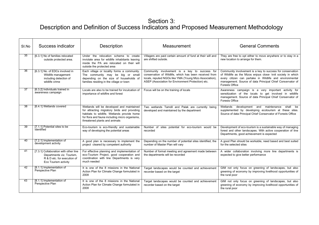| SI.No | Success indicator                                                                                                         | <b>Description</b>                                                                                                                                                                                                          | Measurement                                                                                                                                                                                                              | <b>General Comments</b>                                                                                                                                                                                                                                                     |
|-------|---------------------------------------------------------------------------------------------------------------------------|-----------------------------------------------------------------------------------------------------------------------------------------------------------------------------------------------------------------------------|--------------------------------------------------------------------------------------------------------------------------------------------------------------------------------------------------------------------------|-----------------------------------------------------------------------------------------------------------------------------------------------------------------------------------------------------------------------------------------------------------------------------|
| 35    | [6.3.1] No of families relocated<br>outside protected area.                                                               | Under the relocation scheme to create<br>inviolate area for wildlife inhabitants leaving<br>inside the PA are relocated on their will<br>outside the protected area                                                         | Villagers are paid certain amount of fund at their will and<br>are shifted outside.                                                                                                                                      | They are free to opt either to move anywhere or to stay in a<br>new location to arrange for them.                                                                                                                                                                           |
| 36    | [6.3.1] No. of EDCs involved in<br>Wildlife management<br>including detection of<br>wildlife crime                        | Each village or locality forms a community.<br>The community may be big or small<br>depending on the size of households of<br>families residing in the village or town                                                      | Community involvement is a key to success for<br>conservation of Wildlife, which has been received from<br>locals, reputed NGOs like YMA (Young Mizo Association),<br>ASEP (Association for Environment Protection) etc. | Community involvement is a key to success for conservation<br>of Wildlife as the Mizos enjoys close- knit society in which<br>every citizen can partake in Wildlife and environmental<br>management. Source of data Principal Chief Conservator of<br><b>Forests Office</b> |
| 37    | [6.3.2] Individuals trained in<br>awareness campaign                                                                      | Locals are also to be trained for inculcation of<br>importance of wildfire and forest                                                                                                                                       | Focus will be on the training of locals                                                                                                                                                                                  | Awareness campaign is a very important activity for<br>sensitization of the locals to get involved in wildlife<br>management. Source of data Principal Chief Conservator of<br><b>Forests Office</b>                                                                        |
| 38    | [6.4.1] Wetlands covered                                                                                                  | Wetlands will be developed and maintained<br>for attracting migratory birds and providing<br>habitats to wildlife. Wetlands provide home<br>for flora and fauna including micro organisms,<br>threatened plants and animals | Two wetlands Tamdil and Palak are currently being<br>developed and maintained by the department                                                                                                                          | Wetlands<br>development and maintenance shall be<br>supplemented by developing ecotourism at these sites.<br>Source of data Principal Chief Conservator of Forests Office                                                                                                   |
| 39    | [7.1.1] Potential sites to be<br>identified                                                                               | Eco-tourism is eco-friendly and sustainable<br>way of developing the potential areas                                                                                                                                        | Number of sites potential for eco-tourism would be<br>recorded                                                                                                                                                           | Development of eco-tourism is a sustainable way of managing<br>forest and other landscapes. With active cooperation of line<br>Departments, good achievement is expected                                                                                                    |
| 40    | [7.2.1] Implementation of<br>development activity                                                                         | A good plan is necessary to implement the<br>project cleared by competent authority                                                                                                                                         | Depending on the number of potential sites identified, the<br>number of Master Plan will vary                                                                                                                            | A good Plan should be workable, need based and best suited<br>for the selected sites                                                                                                                                                                                        |
| 41    | [7.3.1] Collaboration with other line<br>Departments viz. Tourism,<br>R & D etc. for execution of<br>Eco Tourism activity | For effective planning and implementation of<br>eco-Tourism Project, good cooperation and<br>coordination with line Departments is very<br>much needed                                                                      | Number of formal meeting and agreement made between<br>the departments will be recorded                                                                                                                                  | A wider collaboration involving more line departments is<br>expected to give better performance                                                                                                                                                                             |
| 42    | [8.1.1] Implementation of<br>Perspective Plan                                                                             | It is one of the 8 missions in the National<br>Action Plan for Climate Change formulated in<br>2008                                                                                                                         | Target landscapes would be counted and achievement<br>recorder based on the target                                                                                                                                       | GIM not only focus on greening of landscapes, but also<br>greening of economy by improving livelihood opportunities of<br>the rural poor                                                                                                                                    |
| 43    | [8.1.1] Implementation of<br>Perspective Plan                                                                             | It is one of the 8 missions in the National<br>Action Plan for Climate Change formulated in<br>2008                                                                                                                         | Target landscapes would be counted and achievement<br>recorder based on the target                                                                                                                                       | GIM not only focus on greening of landscapes, but also<br>greening of economy by improving livelihood opportunities of<br>the rural poor                                                                                                                                    |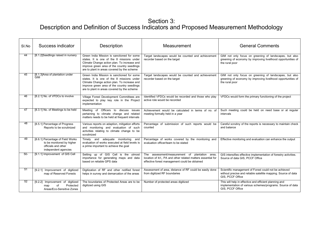| SI.No | Success indicator                                                                                             | Description                                                                                                                                                                                                                          | Measurement                                                                                                                                                   | <b>General Comments</b>                                                                                                                     |
|-------|---------------------------------------------------------------------------------------------------------------|--------------------------------------------------------------------------------------------------------------------------------------------------------------------------------------------------------------------------------------|---------------------------------------------------------------------------------------------------------------------------------------------------------------|---------------------------------------------------------------------------------------------------------------------------------------------|
| 44    | [8.1.2] Seedlings raised in nursery                                                                           | Green India Mission is sanctioned for some<br>states. It is one of the 8 missions under<br>Climate Change action plan. To increase and<br>improve green area of the country seedlings<br>are to plant in areas covered by the scheme | Target landscapes would be counted and achievement<br>recorder based on the target                                                                            | GIM not only focus on greening of landscapes, but also<br>greening of economy by improving livelihood opportunities of<br>the rural poor    |
| 45    | [8.1.3] Area of plantation under<br>GIM                                                                       | Green India Mission is sanctioned for some<br>states. It is one of the 8 missions under<br>Climate Change action plan. To increase and<br>improve green area of the country seedlings<br>are to plant in areas covered by the scheme | Target landscapes would be counted and achievement<br>recorder based on the target                                                                            | GIM not only focus on greening of landscapes, but also<br>greening of economy by improving livelihood opportunities of<br>the rural poor    |
| 46    | [8.2.1] No. of VFDCs to involve                                                                               | Village Forest Development Committees are<br>expected to play key role in the Project<br>implementation                                                                                                                              | Identified VFDCs would be recorded and those who play<br>active role would be recorded                                                                        | VFDCs would form the primary functioning of the project                                                                                     |
| 47    | [8.3.1] No. of Meetings to be held                                                                            | Meeting of Officers to discuss issues<br>pertaining to climate change and related<br>matters needs to be held at frequent intervals                                                                                                  | Achievement would be calculated in terms of no. of<br>meeting formally held in a year                                                                         | Such meeting could be held on need base or at regular<br>intervals                                                                          |
| 48    | [8.5.1] Percentage of Progress<br>Reports to be scrutinized                                                   | Various reports on adaption, mitigation efforts<br>and monitoring and evaluation of such<br>activities relating to climate change to be<br>scrutinized                                                                               | Percentage of submission of such reports would be<br>counted                                                                                                  | Careful scrutiny of the reports is necessary to maintain check<br>and balance                                                               |
| 49    | [8.6.1] Percentage of Field Works<br>to be monitored by higher<br>officials and other<br>independent agencies | Timely and adequate monitoring<br>and<br>evaluation of works executed at field levels is<br>a prime important to achieve the goal                                                                                                    | Percentage of works covered by the monitoring and<br>evaluation officer/team to be stated                                                                     | Effective monitoring and evaluation can enhance the output                                                                                  |
| $50-$ | [9.1.1] Improvement of GIS Cell                                                                               | Setting up of GIS Cell is the utmost<br>importance for generating maps and data<br>based on reliable GPS data                                                                                                                        | The assessment/measurement of plantation area,<br>location of RF, PA and other related matters essential for<br>effective forest management could be obtained | GIS intensifies effective implementation of forestry activities.<br>Source of data GIS, PCCF Office                                         |
| 51    | [9.2.1] Improvement of digitized<br>map of Reserved Forests                                                   | Digitization of RF and other notified forest<br>helps in survey and demarcation of the areas                                                                                                                                         | Assessment of area, distance of RF could be easily done<br>from digitized RF boundaries                                                                       | Scientific management of Forest could not be achieved<br>without precise and reliable satellite mapping. Source of data<br>GIS, PCCF Office |
| 52    | [9.2.2] Improvement of digitized<br>Protected<br>of<br>map<br>Areas/Eco-Sensitive Zones                       | The boundaries of Protected Areas are to be<br>digitized using GIS                                                                                                                                                                   | Number of protected areas digitized                                                                                                                           | This will help in effective and efficient planning and<br>implementation of various schemes/programs. Source of data<br>GIS, PCCF Office    |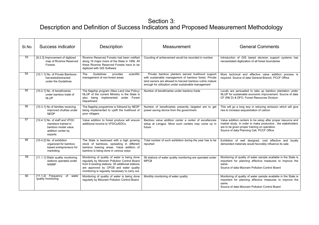| SI.No | Success indicator                                                                                           | Description                                                                                                                                                                                                                                   | Measurement                                                                                                                                                                                                                 | <b>General Comments</b>                                                                                                                                                                                                   |
|-------|-------------------------------------------------------------------------------------------------------------|-----------------------------------------------------------------------------------------------------------------------------------------------------------------------------------------------------------------------------------------------|-----------------------------------------------------------------------------------------------------------------------------------------------------------------------------------------------------------------------------|---------------------------------------------------------------------------------------------------------------------------------------------------------------------------------------------------------------------------|
| 53    | [9.2.3] Improvement of digitized<br>map of Riverine Reserved<br>Forests                                     | Riverine Reserved Forests had been notified<br>along 16 major rivers of the State in 1956. All<br>these Riverine Reserved Forests have to be<br>digitized with GIS Software                                                                   | Counting of achievement would be recorded in number                                                                                                                                                                         | Introduction of GIS based decision support systems has<br>necessitated digitization of all forest boundaries                                                                                                              |
| 54    | [10.1.1] No. of Private Bamboos<br>harvested/extracted<br>under the Guidelines                              | Guidelines<br>provides<br>scientific<br>The<br>management of non-forest areas                                                                                                                                                                 | Private bamboo planters earned livelihood support<br>with sustainable management of bamboo forest. Private<br>land owners are allowed to harvest bamboo culms mature<br>enough for utilization under sustainable management | More technical and effective value addition process is<br>required. Source of data General Branch, PCCF Office                                                                                                            |
| 55    | [10.2.1] No. of beneficiaries<br>under bamboo trade of<br><b>NLUP</b>                                       | The flagship program (New Land Use Policy)<br>NLUP of the current Ministry in the State is<br>also being implemented under Forest<br>Department                                                                                               | Number of beneficiaries under bamboo trade                                                                                                                                                                                  | Locals are persuaded to take up bamboo plantation under<br>NLUP for sustainable economic improvement. Source of data<br>CF (R& D) & DFO, Forest Resources Division                                                        |
| 56    | [10.3.1] No of families receiving<br>improved chulhas under<br><b>NEDP</b>                                  | The flagship programme is followed by NEDP<br>being implemented to uplift the livelihood of<br>poor villagers                                                                                                                                 | Number of beneficiaries presently targeted are to get<br>power saving device from the government                                                                                                                            | This will go a long woy in reducing emission which will give<br>rise to increase sequestration of carbon                                                                                                                  |
| 57    | [10.4.1] No. of staff and VFDC<br>members trained in<br>bamboo model value<br>addition center by<br>experts | Value addition to forest produce will ensure<br>additional income to VFDCs/EDCs                                                                                                                                                               | Bamboo value addition center a center of excellencies<br>setup at Lengpui. More such centers may come up in<br>future                                                                                                       | Value addition centers to be setup after proper resource and<br>market study. In order to make productive, the stakeholders<br>are to be given proper training on operation.<br>Source of data Planning Cell, PCCF Office |
| 58    | [10.4.2] No. of exhibition<br>organized for bamboo<br>based entrepreneurs for<br>marketing                  | The State is bestowed with a high growing<br>stock of bamboos, spreading in different<br>bamboo bearing areas. Value addition of<br>bamboo is being done in various ways                                                                      | Total number of such exhibition during the year has to be<br>reported                                                                                                                                                       | Exhibition of well designed, cost effective and locally<br>demanded materials would favorably influence its sale                                                                                                          |
| 59    | [11.1.1] Water quality monitoring<br>stations operated under<br><b>NWMP</b>                                 | Monitoring of quality of water is being done<br>regularly by Mizoram Pollution Control Board<br>from 6 existing stations. 50 additional stations<br>are approved by CPCB and water quality<br>monitoring is regularly necessary to carry out. | 56 stations of water quality monitoring are operated under<br><b>MPCB</b>                                                                                                                                                   | Monitoring of quality of water sample available in the State is<br>important for planning effective measures to improve the<br>same.<br>Source of data Mizoram Pollution Control Board                                    |
| 60    | $[11.1.2]$ Frequency<br>water<br>of<br>quality monitoring                                                   | Monitoring of quality of water is being done<br>regularly by Mizoram Pollution Control Board                                                                                                                                                  | Monthly monitoring of water quality                                                                                                                                                                                         | Monitoring of quality of water sample available in the State is<br>important for planning effective measures to improve the<br>same.<br>Source of data Mizoram Pollution Control Board                                    |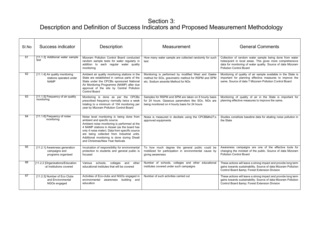| SI.No | Success indicator                                                         | Description                                                                                                                                                                                                                                                                                                                                                 | Measurement                                                                                                                                                  | <b>General Comments</b>                                                                                                                                                                                                |
|-------|---------------------------------------------------------------------------|-------------------------------------------------------------------------------------------------------------------------------------------------------------------------------------------------------------------------------------------------------------------------------------------------------------------------------------------------------------|--------------------------------------------------------------------------------------------------------------------------------------------------------------|------------------------------------------------------------------------------------------------------------------------------------------------------------------------------------------------------------------------|
| 61    | [11.1.3] Additional water sample<br>test                                  | Mizoram Pollution Control Board conducted<br>random sample tests for water regularly in<br>addition to each regular water quality<br>monitoring                                                                                                                                                                                                             | How many water sample are collected randomly for such<br>test                                                                                                | Collection of random water sample being done from water<br>holes/point in local areas. This gives more comprehensive<br>data for monitoring of water quality. Source of data Mizoram<br><b>Pollution Control Board</b> |
| 62    | [11.1.4] Air quality monitoring<br>stations operated under<br><b>NAMP</b> | Ambient air quality monitoring stations in the<br>State are established in various parts of the<br>State under the CPCBs sponsored National<br>Air Monitoring Programme (NAMP) after due<br>approval of the site by Central Pollution<br>Control Board                                                                                                      | Monitoring is performed by modified West and Gaeke<br>method for SOx, gravimetric method for RSPM and SPM<br>etc. Sodium arsenite Method for NOx             | Monitoring of quality of air sample available in the State is<br>important for planning effective measures to improve the<br>same. Source of data ? Mizoram Pollution Control Board                                    |
| 63    | [11.1.5] Frequency of air quality<br>monitoring                           | Monitoring is done as per the CPCBs<br>prescribed frequency normally twice a week<br>totaling to a minimum of 104 monitoring per<br>year by Mizoram Pollution Control Board                                                                                                                                                                                 | Samples for RSPM and SPM are taken on 8 hourly basis<br>for 24 hours. Gaseous parameters like SOx, NOx are<br>being monitored on 4 hourly basis for 24 hours | Monitoring of quality of air in the State is important for<br>planning effective measures to improve the same.                                                                                                         |
| 64    | [11.1.6] Frequency of noise<br>monitoring                                 | Noise level monitoring is being done from<br>ambient and specific source.<br>Ambient noise monitoring is performed at the<br>4 NAMP stations in Aizawl (as the board has<br>only 4 noise meter). Data from specific source<br>are being collected from Industrial units.<br>Additional monitoring is done during Diwali<br>and Christmas/New Year festivals | Noise is measured in decibels using the CPCB's<br>approved equipments                                                                                        | Studies constitute baseline data for abating noise pollution in<br>the State                                                                                                                                           |
| 65    | [11.2.1] Awareness generation<br>campaigns and<br>programs organised      | Inculcation of responsibility for environmental<br>protection to students and general public is<br>focused                                                                                                                                                                                                                                                  | To how much degree the general public could be<br>mobilized for participation in environmental cause by<br>giving awareness                                  | Awareness campaigns are one of the effective tools for<br>changing the mindset of the public. Source of data Mizoram<br><b>Pollution Control Board</b>                                                                 |
| 66    | [11.2.2 ]Organisations/Education<br>-al Institutions covered              | schools,<br>colleges and other<br>Various<br>educational institutes that will be covered                                                                                                                                                                                                                                                                    | Number of schools, colleges and other educational<br>institutes covered under such campaigns                                                                 | These actions will leave a strong impact and provide long term<br>gains towards sustainability. Source of data Mizoram Pollution<br>Control Board & Forest Extension Division                                          |
| 67    | [11.2.3] Number of Eco Clubs<br>and Environmental<br>NGOs engaged         | Activities of Eco-clubs and NGOs engaged in<br>environmental<br>awareness building and<br>education                                                                                                                                                                                                                                                         | Number of such activities carried out                                                                                                                        | These actions will leave a strong impact and provide long term<br>gains towards sustainability. Source of data Mizoram Pollution<br>Control Board & Forest Extension Division                                          |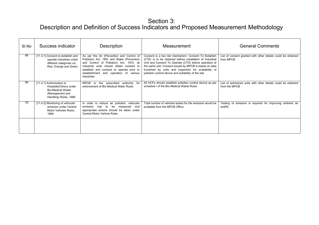| SI.No | Success indicator                                                                                                            | Description                                                                                                                                                                                                                                                                           | Measurement                                                                                                                                                                                                                                                                                                                                            | <b>General Comments</b>                                                        |
|-------|------------------------------------------------------------------------------------------------------------------------------|---------------------------------------------------------------------------------------------------------------------------------------------------------------------------------------------------------------------------------------------------------------------------------------|--------------------------------------------------------------------------------------------------------------------------------------------------------------------------------------------------------------------------------------------------------------------------------------------------------------------------------------------------------|--------------------------------------------------------------------------------|
| 68    | [11.3.1] Consent to establish and<br>operate industries under<br>different categories viz.<br>Red, Orange and Green          | As per the Air (Prevention and Control of<br>Pollution) Act, 1981 and Water (Prevention<br>and Control of Pollution) Act, 1974, all<br>industrial units should obtain consent to<br>establish and consent to operate prior to<br>establishment and operation of various<br>industries | Consent is a two tier mechanism. Consent To Establish<br>(CTE) is to be obtained before installation of Industrial<br>Unit and Consent To Operate (CTO) before operation of<br>the same unit. Consent issued by MPCB is based on data<br>furnished by units and inspection for availability of<br>pollution control device and suitability of the site | List of consent granted with other details could be obtained<br>from MPCB      |
| 69    | [11.4.1] Authorization to<br>Hospitals/Clinics under<br><b>Bio-Medical Waste</b><br>(Management and<br>Handling) Rules, 1998 | MPCB is the prescribed authority for<br>enforcement of Bio Medical Water Rules                                                                                                                                                                                                        | All HCFs should establish pollution control device as per<br>schedule I of the Bio Medical Waste Rules                                                                                                                                                                                                                                                 | List of authorized units with other details could be obtained<br>from the MPCB |
| 70    | [11.4.2] Monitoring of vehicular<br>emission under Central<br>Motor Vehicles Rules,<br>1989                                  | In order to reduce air pollution, vehicular<br>has to be measured and<br>emission<br>appropriate actions should be taken under<br><b>Central Motor Vehicle Rules</b>                                                                                                                  | Total number of vehicles tested for the emission would be<br>available from the MPCB Office                                                                                                                                                                                                                                                            | Testing of emission is required for improving ambient air<br>quality           |
|       |                                                                                                                              |                                                                                                                                                                                                                                                                                       |                                                                                                                                                                                                                                                                                                                                                        |                                                                                |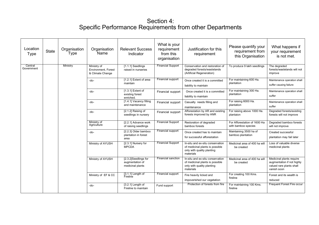#### Section 4: Specific Performance Requirements from other Departments

| Location<br>Type      | <b>State</b> | Organisation<br>Type | Organisation<br>Name                                   | <b>Relevant Success</b><br>Indicator                        | What is your<br>requirement<br>from this<br>organisation | Justification for this<br>requirement                                                                          | Please quantify your<br>requirement from<br>this Organisation | What happens if<br>your requirement<br>is not met.                                                |
|-----------------------|--------------|----------------------|--------------------------------------------------------|-------------------------------------------------------------|----------------------------------------------------------|----------------------------------------------------------------------------------------------------------------|---------------------------------------------------------------|---------------------------------------------------------------------------------------------------|
| Central<br>Government |              | Ministry             | Ministry of<br>Environment, Forest<br>& Climate Change | [1.1.1] Seedlings<br>raised in nurseries                    | <b>Financial Support</b>                                 | Conservation and restoration of<br>degraded forests/wastelands<br>(Artificial Regeneration)                    | To produce 9 lakh seedlings                                   | The degraded<br>forests/wastelands will not<br>improve                                            |
|                       |              |                      | $-do-$                                                 | [1.2.1] Extent of area<br>maintain                          | Financial support                                        | Once created it is a committed<br>liability to maintain                                                        | For maintaining 600 Ha.<br>plantation                         | Maintenance operation shall<br>suffer causing failure                                             |
|                       |              |                      | $-do-$                                                 | [1.3.1] Extent of<br>existing forest<br>enriched.           | Financial support                                        | Once created it is a committed<br>liability to maintain                                                        | For maintaining 300 Ha.<br>plantation                         | Maintenance operation shall<br>suffer                                                             |
|                       |              |                      | $-do-$                                                 | [1.4.1] Vacancy filling<br>and maintenance                  | Financial support                                        | Casualty needs filling and<br>maintenance                                                                      | For raising 6000 Ha.<br>plantation                            | Maintenance operation shall<br>suffer                                                             |
|                       |              |                      | $-do-$                                                 | [2.1.2] Raising of<br>seedlings in nursery                  | Financial support                                        | Afforestation by AR and existing<br>forests improved by ANR                                                    | For raising above 1000 Ha.<br>plantaion                       | Degraded forests/existing<br>forests will not improve                                             |
|                       |              |                      | Ministry of<br>Agriculture                             | [2.2.1] Advance work<br>of raising seedlings                | <b>Financial Support</b>                                 | Restoration of degraded<br>bamboo forests                                                                      | For Afforestation of 1600 Ha<br>with bamboo species           | Degraded bamboo forests<br>will not improve                                                       |
|                       |              |                      | $-do-$                                                 | [2.2.3] Older bamboo<br>plantation in forest<br>area        | Financial support                                        | Once created has to maintain<br>for successful afforestation                                                   | Maintaining 3500 ha of<br>bamboo plantation                   | Created successful<br>plantation may fail later                                                   |
|                       |              |                      | Ministry of AYUSH                                      | [2.3.1] Nursery for<br><b>MPCDA</b>                         | <b>Financial Support</b>                                 | In-situ and ex-situ conservation<br>of medicinal plants is possible<br>only with quality planting<br>materials | Medicinal area of 400 ha will<br>be created                   | Loss of valuable diverse<br>medicinal plants                                                      |
|                       |              |                      | Ministry of AYUSH                                      | [2.3.2]Seedlings for<br>augmentation of<br>medicinal plants | <b>Financial sanction</b>                                | In-situ and ex-situ conservation<br>of medicinal plants is possible<br>only with quality planting<br>materials | Medicinal area of 400 ha will<br>be created                   | Medicinal plants require<br>augmentation if not highly<br>valued rare plants shall<br>vanish soon |
|                       |              |                      | Ministry of EF & CC                                    | $[3.1.1]$ Length of<br>Fireline                             | Financial support                                        | Fire heavily licked and<br>impoverished our vegetation                                                         | For creating 100 Kms.<br>fireline                             | Forest and its wealth is<br>reduced                                                               |
|                       |              |                      | $-do-$                                                 | $[3.2.1]$ Length of<br>Fireline to maintain                 | Fund support                                             | Protection of forests from fire                                                                                | For maintaining 100 Kms.<br>fireline                          | Frequent Forest Fire occur                                                                        |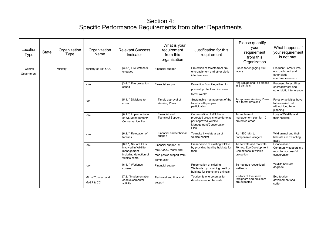#### Section 4: Specific Performance Requirements from other Departments

| Location<br><b>Type</b> | <b>State</b> | Organization<br><b>Type</b> | Organization<br>Name            | <b>Relevant Success</b><br>Indicator                                                                  | What is your<br>requirement<br>from this<br>organization                          | Justification for this<br>requirement                                                                                       | Please quantify<br>your<br>requirement<br>from this<br>Organization                         | What happens if<br>your requirement<br>is not met.                                |
|-------------------------|--------------|-----------------------------|---------------------------------|-------------------------------------------------------------------------------------------------------|-----------------------------------------------------------------------------------|-----------------------------------------------------------------------------------------------------------------------------|---------------------------------------------------------------------------------------------|-----------------------------------------------------------------------------------|
| Central<br>Government   |              | Ministry                    | Ministry of EF & CC             | [3.3.1] Fire watchers<br>engaged                                                                      | Financial support                                                                 | Protection of forests from fire.<br>encroachment and other biotic<br>interferences                                          | Funds for engaging 100<br>labors                                                            | Frequent Forest Fires,<br>encroachment and<br>other biotic<br>interferences occur |
|                         |              |                             | $-do-$                          | [3.4.1] Fire protection<br>squad                                                                      | Financial support                                                                 | Protection from illegalities to<br>prevent, protect and increase<br>forest wealth                                           | Fire Squad shall be placed<br>in 8 districts                                                | Frequent Forest Fires,<br>encroachment and<br>other biotic interference           |
|                         |              |                             | $-do-$                          | [5.1.1] Divisions to<br>cover                                                                         | Timely approval of<br><b>Working Plans</b>                                        | Sustainable management of the<br>forests with peoples<br>participation                                                      | To approve Working Plans<br>of 4 forest divisions                                           | Forestry activities have<br>to be carried out<br>without long term<br>planning    |
|                         |              |                             | $-do-$                          | [6.1.1] Implementation<br>of WL Management/<br>Conservat ion Plan                                     | Financial and<br><b>Technical Support</b>                                         | Conservation of Wildlife in<br>protected areas is to be done as<br>per approved Wildlife<br>Management/Conservation<br>Plan | To implement<br>management plan for 10<br>protected areas                                   | Loss of Wildlife and<br>their habitats                                            |
|                         |              |                             | -do-                            | [6.2.1] Relocation of<br>families                                                                     | Financial and technical<br>support                                                | To make inviolate area of<br>wildlife habitat                                                                               | Rs 1450 lakh to<br>compensate villagers                                                     | Wild animal and their<br>habitats are dwindling<br>fastly                         |
|                         |              |                             | $-do-$                          | [6.3.1] No. of EDCs<br>involved in Wildlife<br>management<br>including detection of<br>wildlife crime | Financial support of<br>MoEF&CC. Moral and<br>man power support from<br>community | Preservation of existing wildlife<br>by providing healthy habitats for<br>them                                              | To activate and motivate<br>70 nos. Eco Development<br>Committees in wildlife<br>protection | Financial and<br>Community support is a<br>must for successful<br>conservation    |
|                         |              |                             | $-do-$                          | [6.4.1] Wetlands<br>covered                                                                           | Financial support                                                                 | Preservation of existing<br>Wetlands by providing healthy<br>habitats for plants and animals                                | To manage recognized<br>wetlands                                                            | Wildlife habitats<br>degrade                                                      |
|                         |              |                             | Min of Tourism and<br>MoEF & CC | [7.2.1] Implementation<br>of developmental<br>activity                                                | <b>Technical and financial</b><br>support                                         | Tourism is one potential for<br>development of the state                                                                    | Visitors of thousand<br>foreigners and outsiders<br>are expected                            | Eco-tourism<br>development shall<br>suffer                                        |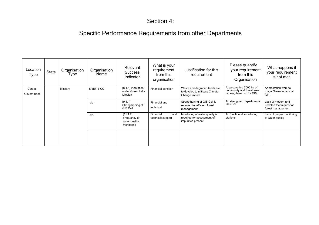## Section 4:

# Specific Performance Requirements from other Departments

| Location<br>Type      | State | Organisation<br>Type | Organisation<br>Name | Relevant<br><b>Success</b><br>Indicator                 | What is your<br>requirement<br>from this<br>organisation | Justification for this<br>requirement                                              | Please quantify<br>your requirement<br>from this<br>Organisation                   | What happens if<br>your requirement<br>is not met.                |
|-----------------------|-------|----------------------|----------------------|---------------------------------------------------------|----------------------------------------------------------|------------------------------------------------------------------------------------|------------------------------------------------------------------------------------|-------------------------------------------------------------------|
| Central<br>Government |       | Ministry             | MoEF & CC            | [8.1.1] Plantation<br>under Green India<br>Mission      | Financial sanction                                       | Waste and degraded lands are<br>to develop to mitigate Climate<br>Change impact.   | Area covering 7000 ha of<br>community and forest area<br>is being taken up for GIM | Afforestation work to<br>mage Green India shall<br>fail.          |
|                       |       |                      | $-do-$               | [9.1.1]<br>Strengthening of<br><b>GIS Cell</b>          | Financial and<br>technical                               | Strengthening of GIS Cell is<br>required for efficient forest<br>management        | To strengthen departmental<br>GIS Cell                                             | Lack of modern and<br>updated techniques for<br>forest management |
|                       |       |                      | $-do-$               | [11.1.2]<br>Frequency of<br>water quality<br>monitoring | Financial<br>and<br>technical support                    | Monitoring of water quality is<br>required for assessment of<br>impurities present | To function all monitoring<br>stations                                             | Lack of proper monitoring<br>of water quality                     |
|                       |       |                      |                      |                                                         |                                                          |                                                                                    |                                                                                    |                                                                   |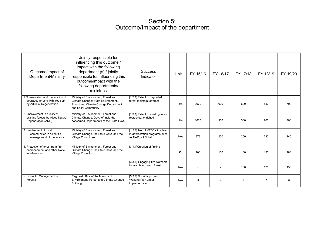#### Section 5: Outcome/Impact of the department

| Outcome/Impact of<br>Department/Ministry                                                         | Jointly responsible for<br>influencing this outcome /<br>impact with the following<br>department (s) / jointly<br>responsible for influencing this<br>outcome/impact with the<br>following departments/<br>ministries | <b>Success</b><br>Indicator                                                          | Unit | FY 15/16 | FY 16/17 | FY 17/18       | FY 18/19       | FY 19/20 |
|--------------------------------------------------------------------------------------------------|-----------------------------------------------------------------------------------------------------------------------------------------------------------------------------------------------------------------------|--------------------------------------------------------------------------------------|------|----------|----------|----------------|----------------|----------|
| .Conservation and restoration of<br>degraded forests with tree spp<br>by Artificial Regeneration | Ministry of Environment, Forest and<br>Climate Change; State Environment,<br>Forest and Climate Change Department<br>and Local Community                                                                              | [1.2.1] Extent of degraded<br>forest maintain/afforest                               | Ha.  | 2070     | 600      | 600            | 650            | 700      |
| 2. Improvement in quality of<br>existing forests by Aided Natural<br>Regeneration (ANR)          | Ministry of Environment, Forest and<br>Climate Change, Govt. of India the<br>concerned Departments of the State Govt.                                                                                                 | [1.3.1] Extent of existing forest<br>restocked/enriched                              | Ha.  | 1065     | 300      | 300            | 700            | 700      |
| 3. Involvement of local<br>communities in scientific<br>management of the forests                | Ministry of Environment, Forest and<br>Climate Change, the State Govt. and the<br>Village Committee                                                                                                                   | [1.5.1] No. of VFDCs involved<br>in afforestation programs such<br>as NAP, NABM etc. | Nos. | 373      | 250      | 200            | 230            | 240      |
| 4. Protection of forest from fire.<br>encroachment and other biotic<br>interferences             | Ministry of Environment, Forest and<br>Climate Change, the State Govt. and the<br><b>Village Councils</b>                                                                                                             | [3.1.1]Creation of fireline                                                          | Km   | 100      | 100      | 100            | 150            | 180      |
|                                                                                                  |                                                                                                                                                                                                                       | [3.3.1] Engaging fire watchers<br>for watch and ward forest                          | Nos. |          |          | 100            | 120            | 150      |
| 5. Scientific Management of<br>Forests                                                           | Regional office of the Ministry of<br>Environment, Forest and Climate Change,<br>Shillong                                                                                                                             | [5.2.1] No. of approved<br>Working Plan under<br>implementation                      | Nos. | 5        | 4        | $\overline{4}$ | $\overline{7}$ | 8        |